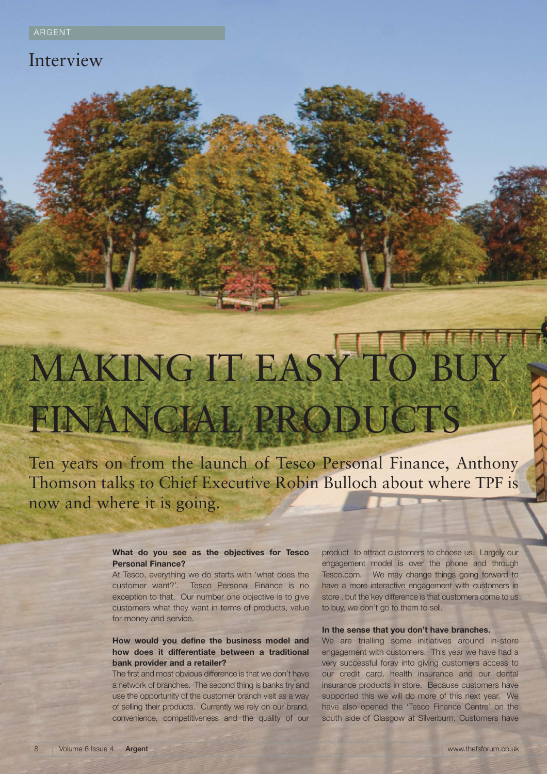# Interview

# MAKING IT EASY TO BUY FINANCIAL PRODUCTS

Ten years on from the launch of Tesco Personal Finance, Anthony Thomson talks to Chief Executive Robin Bulloch about where TPF is now and where it is going.

#### **What do you see as the objectives for Tesco Personal Finance?**

At Tesco, everything we do starts with 'what does the customer want?'. Tesco Personal Finance is no exception to that. Our number one objective is to give customers what they want in terms of products, value for money and service.

#### **How would you define the business model and how does it differentiate between a traditional bank provider and a retailer?**

The first and most obvious difference is that we don't have a network of branches. The second thing is banks try and use the opportunity of the customer branch visit as a way of selling their products. Currently we rely on our brand, convenience, competitiveness and the quality of our product to attract customers to choose us. Largely our engagement model is over the phone and through Tesco.com. We may change things going forward to have a more interactive engagement with customers in store , but the key difference is that customers come to us to buy, we don't go to them to sell.

#### **In the sense that you don't have branches.**

We are trialling some initiatives around in-store engagement with customers. This year we have had a very successful foray into giving customers access to our credit card, health insurance and our dental insurance products in store. Because customers have supported this we will do more of this next year. We have also opened the 'Tesco Finance Centre' on the south side of Glasgow at Silverburn. Customers have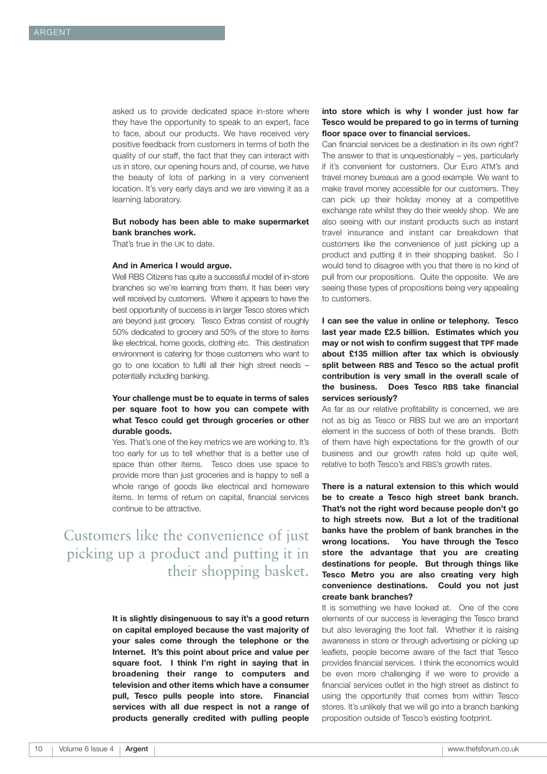asked us to provide dedicated space in-store where they have the opportunity to speak to an expert, face to face, about our products. We have received very positive feedback from customers in terms of both the quality of our staff, the fact that they can interact with us in store, our opening hours and, of course, we have the beauty of lots of parking in a very convenient location. It's very early days and we are viewing it as a learning laboratory.

#### **But nobody has been able to make supermarket bank branches work.**

That's true in the UK to date.

#### **And in America I would argue.**

Well RBS Citizens has quite a successful model of in-store branches so we're learning from them. It has been very well received by customers. Where it appears to have the best opportunity of success is in larger Tesco stores which are beyond just grocery. Tesco Extras consist of roughly 50% dedicated to grocery and 50% of the store to items like electrical, home goods, clothing etc. This destination environment is catering for those customers who want to go to one location to fulfil all their high street needs – potentially including banking.

#### **Your challenge must be to equate in terms of sales per square foot to how you can compete with what Tesco could get through groceries or other durable goods.**

Yes. That's one of the key metrics we are working to. It's too early for us to tell whether that is a better use of space than other items. Tesco does use space to provide more than just groceries and is happy to sell a whole range of goods like electrical and homeware items. In terms of return on capital, financial services continue to be attractive.

## Customers like the convenience of just picking up a product and putting it in their shopping basket.

**It is slightly disingenuous to say it's a good return on capital employed because the vast majority of your sales come through the telephone or the Internet. It's this point about price and value per square foot. I think I'm right in saying that in broadening their range to computers and television and other items which have a consumer pull, Tesco pulls people into store. Financial services with all due respect is not a range of products generally credited with pulling people**

#### **into store which is why I wonder just how far Tesco would be prepared to go in terms of turning floor space over to financial services.**

Can financial services be a destination in its own right? The answer to that is unquestionably – yes, particularly if it's convenient for customers. Our Euro ATM's and travel money bureaus are a good example. We want to make travel money accessible for our customers. They can pick up their holiday money at a competitive exchange rate whilst they do their weekly shop. We are also seeing with our instant products such as instant travel insurance and instant car breakdown that customers like the convenience of just picking up a product and putting it in their shopping basket. So I would tend to disagree with you that there is no kind of pull from our propositions. Quite the opposite. We are seeing these types of propositions being very appealing to customers.

**I can see the value in online or telephony. Tesco last year made £2.5 billion. Estimates which you may or not wish to confirm suggest that TPF made about £135 million after tax which is obviously split between RBS and Tesco so the actual profit contribution is very small in the overall scale of the business. Does Tesco RBS take financial services seriously?**

As far as our relative profitability is concerned, we are not as big as Tesco or RBS but we are an important element in the success of both of these brands. Both of them have high expectations for the growth of our business and our growth rates hold up quite well, relative to both Tesco's and RBS's growth rates.

**There is a natural extension to this which would be to create a Tesco high street bank branch. That's not the right word because people don't go to high streets now. But a lot of the traditional banks have the problem of bank branches in the wrong locations. You have through the Tesco store the advantage that you are creating destinations for people. But through things like Tesco Metro you are also creating very high convenience destinations. Could you not just create bank branches?**

It is something we have looked at. One of the core elements of our success is leveraging the Tesco brand but also leveraging the foot fall. Whether it is raising awareness in store or through advertising or picking up leaflets, people become aware of the fact that Tesco provides financial services. I think the economics would be even more challenging if we were to provide a financial services outlet in the high street as distinct to using the opportunity that comes from within Tesco stores. It's unlikely that we will go into a branch banking proposition outside of Tesco's existing footprint.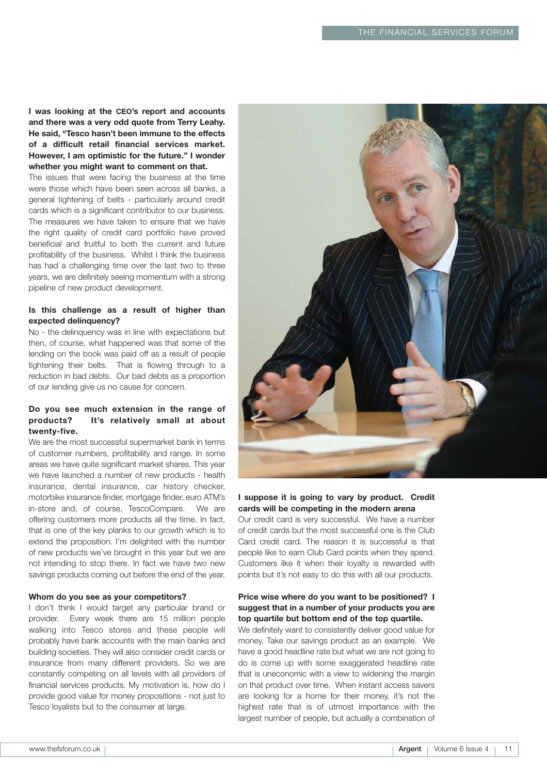**I was looking at the CEO's report and accounts and there was a very odd quote from Terry Leahy. He said, "Tesco hasn't been immune to the effects of a difficult retail financial services market. However, I am optimistic for the future." I wonder whether you might want to comment on that.**

The issues that were facing the business at the time were those which have been seen across all banks, a general tightening of belts - particularly around credit cards which is a significant contributor to our business. The measures we have taken to ensure that we have the right quality of credit card portfolio have proved beneficial and fruitful to both the current and future profitability of the business. Whilst I think the business has had a challenging time over the last two to three years, we are definitely seeing momentum with a strong pipeline of new product development.

#### **Is this challenge as a result of higher than expected delinquency?**

No - the delinquency was in line with expectations but then, of course, what happened was that some of the lending on the book was paid off as a result of people tightening their belts. That is flowing through to a reduction in bad debts. Our bad debts as a proportion of our lending give us no cause for concern.

#### **Do you see much extension in the range of products? It's relatively small at about twenty-five.**

We are the most successful supermarket bank in terms of customer numbers, profitability and range. In some areas we have quite significant market shares. This year we have launched a number of new products - health insurance, dental insurance, car history checker, motorbike insurance finder, mortgage finder, euro ATM's in-store and, of course, TescoCompare. We are offering customers more products all the time. In fact, that is one of the key planks to our growth which is to extend the proposition. I'm delighted with the number of new products we've brought in this year but we are not intending to stop there. In fact we have two new savings products coming out before the end of the year.

#### **Whom do you see as your competitors?**

I don't think I would target any particular brand or provider. Every week there are 15 million people walking into Tesco stores and these people will probably have bank accounts with the main banks and building societies. They will also consider credit cards or insurance from many different providers. So we are constantly competing on all levels with all providers of financial services products. My motivation is, how do I provide good value for money propositions - not just to Tesco loyalists but to the consumer at large.



#### **I suppose it is going to vary by product. Credit cards will be competing in the modern arena**

Our credit card is very successful. We have a number of credit cards but the most successful one is the Club Card credit card. The reason it is successful is that people like to earn Club Card points when they spend. Customers like it when their loyalty is rewarded with points but it's not easy to do this with all our products.

#### **Price wise where do you want to be positioned? I suggest that in a number of your products you are top quartile but bottom end of the top quartile.**

We definitely want to consistently deliver good value for money. Take our savings product as an example. We have a good headline rate but what we are not going to do is come up with some exaggerated headline rate that is uneconomic with a view to widening the margin on that product over time. When instant access savers are looking for a home for their money, it's not the highest rate that is of utmost importance with the largest number of people, but actually a combination of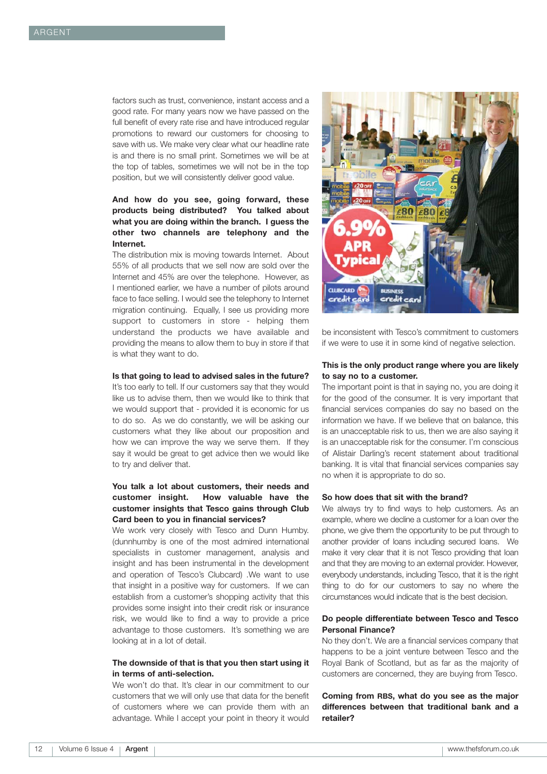factors such as trust, convenience, instant access and a good rate. For many years now we have passed on the full benefit of every rate rise and have introduced regular promotions to reward our customers for choosing to save with us. We make very clear what our headline rate is and there is no small print. Sometimes we will be at the top of tables, sometimes we will not be in the top position, but we will consistently deliver good value.

#### **And how do you see, going forward, these products being distributed? You talked about what you are doing within the branch. I guess the other two channels are telephony and the Internet.**

The distribution mix is moving towards Internet. About 55% of all products that we sell now are sold over the Internet and 45% are over the telephone. However, as I mentioned earlier, we have a number of pilots around face to face selling. I would see the telephony to Internet migration continuing. Equally, I see us providing more support to customers in store - helping them understand the products we have available and providing the means to allow them to buy in store if that is what they want to do.

#### **Is that going to lead to advised sales in the future?**

It's too early to tell. If our customers say that they would like us to advise them, then we would like to think that we would support that - provided it is economic for us to do so. As we do constantly, we will be asking our customers what they like about our proposition and how we can improve the way we serve them. If they say it would be great to get advice then we would like to try and deliver that.

#### **You talk a lot about customers, their needs and customer insight. How valuable have the customer insights that Tesco gains through Club Card been to you in financial services?**

We work very closely with Tesco and Dunn Humby. (dunnhumby is one of the most admired international specialists in customer management, analysis and insight and has been instrumental in the development and operation of Tesco's Clubcard) .We want to use that insight in a positive way for customers. If we can establish from a customer's shopping activity that this provides some insight into their credit risk or insurance risk, we would like to find a way to provide a price advantage to those customers. It's something we are looking at in a lot of detail.

#### **The downside of that is that you then start using it in terms of anti-selection.**

We won't do that. It's clear in our commitment to our customers that we will only use that data for the benefit of customers where we can provide them with an advantage. While I accept your point in theory it would



be inconsistent with Tesco's commitment to customers if we were to use it in some kind of negative selection.

#### **This is the only product range where you are likely to say no to a customer.**

The important point is that in saying no, you are doing it for the good of the consumer. It is very important that financial services companies do say no based on the information we have. If we believe that on balance, this is an unacceptable risk to us, then we are also saying it is an unacceptable risk for the consumer. I'm conscious of Alistair Darling's recent statement about traditional banking. It is vital that financial services companies say no when it is appropriate to do so.

#### **So how does that sit with the brand?**

We always try to find ways to help customers. As an example, where we decline a customer for a loan over the phone, we give them the opportunity to be put through to another provider of loans including secured loans. We make it very clear that it is not Tesco providing that loan and that they are moving to an external provider. However, everybody understands, including Tesco, that it is the right thing to do for our customers to say no where the circumstances would indicate that is the best decision.

#### **Do people differentiate between Tesco and Tesco Personal Finance?**

No they don't. We are a financial services company that happens to be a joint venture between Tesco and the Royal Bank of Scotland, but as far as the majority of customers are concerned, they are buying from Tesco.

#### **Coming from RBS, what do you see as the major differences between that traditional bank and a retailer?**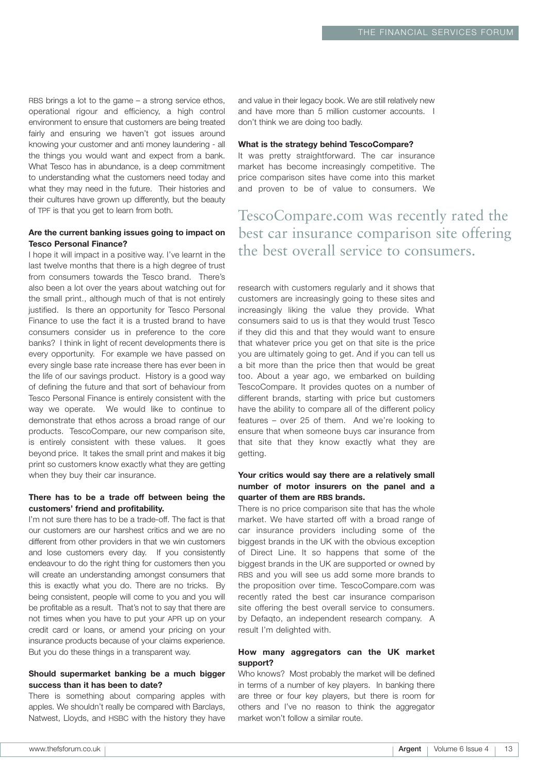RBS brings a lot to the game – a strong service ethos, operational rigour and efficiency, a high control environment to ensure that customers are being treated fairly and ensuring we haven't got issues around knowing your customer and anti money laundering - all the things you would want and expect from a bank. What Tesco has in abundance, is a deep commitment to understanding what the customers need today and what they may need in the future. Their histories and their cultures have grown up differently, but the beauty of TPF is that you get to learn from both.

#### **Are the current banking issues going to impact on Tesco Personal Finance?**

I hope it will impact in a positive way. I've learnt in the last twelve months that there is a high degree of trust from consumers towards the Tesco brand. There's also been a lot over the years about watching out for the small print., although much of that is not entirely justified. Is there an opportunity for Tesco Personal Finance to use the fact it is a trusted brand to have consumers consider us in preference to the core banks? I think in light of recent developments there is every opportunity. For example we have passed on every single base rate increase there has ever been in the life of our savings product. History is a good way of defining the future and that sort of behaviour from Tesco Personal Finance is entirely consistent with the way we operate. We would like to continue to demonstrate that ethos across a broad range of our products. TescoCompare, our new comparison site, is entirely consistent with these values. It goes beyond price. It takes the small print and makes it big print so customers know exactly what they are getting when they buy their car insurance.

#### **There has to be a trade off between being the customers' friend and profitability.**

I'm not sure there has to be a trade-off. The fact is that our customers are our harshest critics and we are no different from other providers in that we win customers and lose customers every day. If you consistently endeavour to do the right thing for customers then you will create an understanding amongst consumers that this is exactly what you do. There are no tricks. By being consistent, people will come to you and you will be profitable as a result. That's not to say that there are not times when you have to put your APR up on your credit card or loans, or amend your pricing on your insurance products because of your claims experience. But you do these things in a transparent way.

#### **Should supermarket banking be a much bigger success than it has been to date?**

There is something about comparing apples with apples. We shouldn't really be compared with Barclays, Natwest, Lloyds, and HSBC with the history they have and value in their legacy book. We are still relatively new and have more than 5 million customer accounts. I don't think we are doing too badly.

#### **What is the strategy behind TescoCompare?**

It was pretty straightforward. The car insurance market has become increasingly competitive. The price comparison sites have come into this market and proven to be of value to consumers. We

## TescoCompare.com was recently rated the best car insurance comparison site offering the best overall service to consumers.

research with customers regularly and it shows that customers are increasingly going to these sites and increasingly liking the value they provide. What consumers said to us is that they would trust Tesco if they did this and that they would want to ensure that whatever price you get on that site is the price you are ultimately going to get. And if you can tell us a bit more than the price then that would be great too. About a year ago, we embarked on building TescoCompare. It provides quotes on a number of different brands, starting with price but customers have the ability to compare all of the different policy features – over 25 of them. And we're looking to ensure that when someone buys car insurance from that site that they know exactly what they are getting.

#### **Your critics would say there are a relatively small number of motor insurers on the panel and a quarter of them are RBS brands.**

There is no price comparison site that has the whole market. We have started off with a broad range of car insurance providers including some of the biggest brands in the UK with the obvious exception of Direct Line. It so happens that some of the biggest brands in the UK are supported or owned by RBS and you will see us add some more brands to the proposition over time. TescoCompare.com was recently rated the best car insurance comparison site offering the best overall service to consumers. by Defaqto, an independent research company. A result I'm delighted with.

#### **How many aggregators can the UK market support?**

Who knows? Most probably the market will be defined in terms of a number of key players. In banking there are three or four key players, but there is room for others and I've no reason to think the aggregator market won't follow a similar route.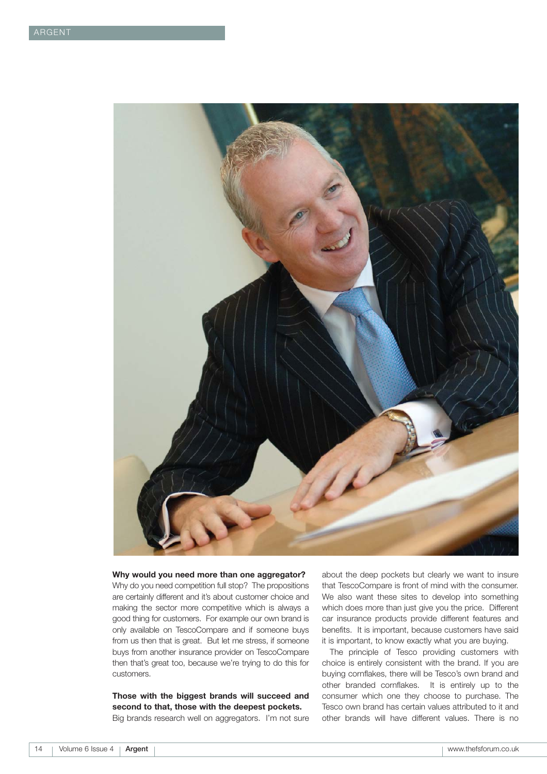

#### **Why would you need more than one aggregator?**

Why do you need competition full stop? The propositions are certainly different and it's about customer choice and making the sector more competitive which is always a good thing for customers. For example our own brand is only available on TescoCompare and if someone buys from us then that is great. But let me stress, if someone buys from another insurance provider on TescoCompare then that's great too, because we're trying to do this for customers.

**Those with the biggest brands will succeed and second to that, those with the deepest pockets.** Big brands research well on aggregators. I'm not sure about the deep pockets but clearly we want to insure that TescoCompare is front of mind with the consumer. We also want these sites to develop into something which does more than just give you the price. Different car insurance products provide different features and benefits. It is important, because customers have said it is important, to know exactly what you are buying.

The principle of Tesco providing customers with choice is entirely consistent with the brand. If you are buying cornflakes, there will be Tesco's own brand and other branded cornflakes. It is entirely up to the consumer which one they choose to purchase. The Tesco own brand has certain values attributed to it and other brands will have different values. There is no